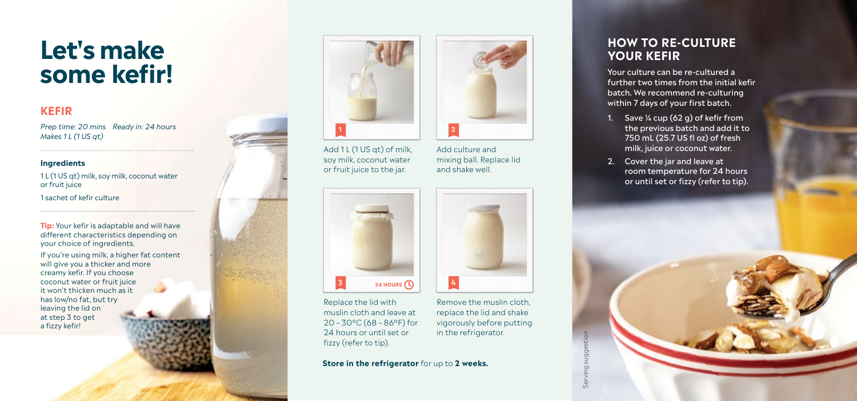# **Let's make some kefir!**

### **KEFIR**

*Prep time: 20 mins Ready in: 24 hours Makes 1 L (1 US qt)*

#### **Ingredients**

1 L (1 US qt) milk, soy milk, coconut water or fruit juice 1 sachet of kefir culture

**Tip:** Your kefir is adaptable and will have different characteristics depending on your choice of ingredients.

If you're using milk, a higher fat content will give you a thicker and more creamy kefir. If you choose coconut water or fruit juice it won't thicken much as it has low/no fat, but try leaving the lid on at step 3 to get a fizzy kefir!



Add 1 L (1 US qt) of milk, soy milk, coconut water or fruit juice to the jar.



Replace the lid with muslin cloth and leave at 20 – 30ºC (68 – 86ºF) for 24 hours or until set or fizzy (refer to tip).

Remove the muslin cloth, replace the lid and shake vigorously before putting in the refrigerator.

**Store in the refrigerator** for up to **2 weeks.**



Add culture and mixing ball. Replace lid and shake well.



## **HOW TO RE-CULTURE YOUR KEFIR**

Your culture can be re-cultured a further two times from the initial kefir batch. We recommend re-culturing within 7 days of your first batch.

- 1. Save  $\frac{1}{4}$  cup (62 g) of kefir from the previous batch and add it to 750 mL (25.7 US fl oz) of fresh milk, juice or coconut water.
- 2. Cover the jar and leave at room temperature for 24 hours or until set or fizzy (refer to tip).